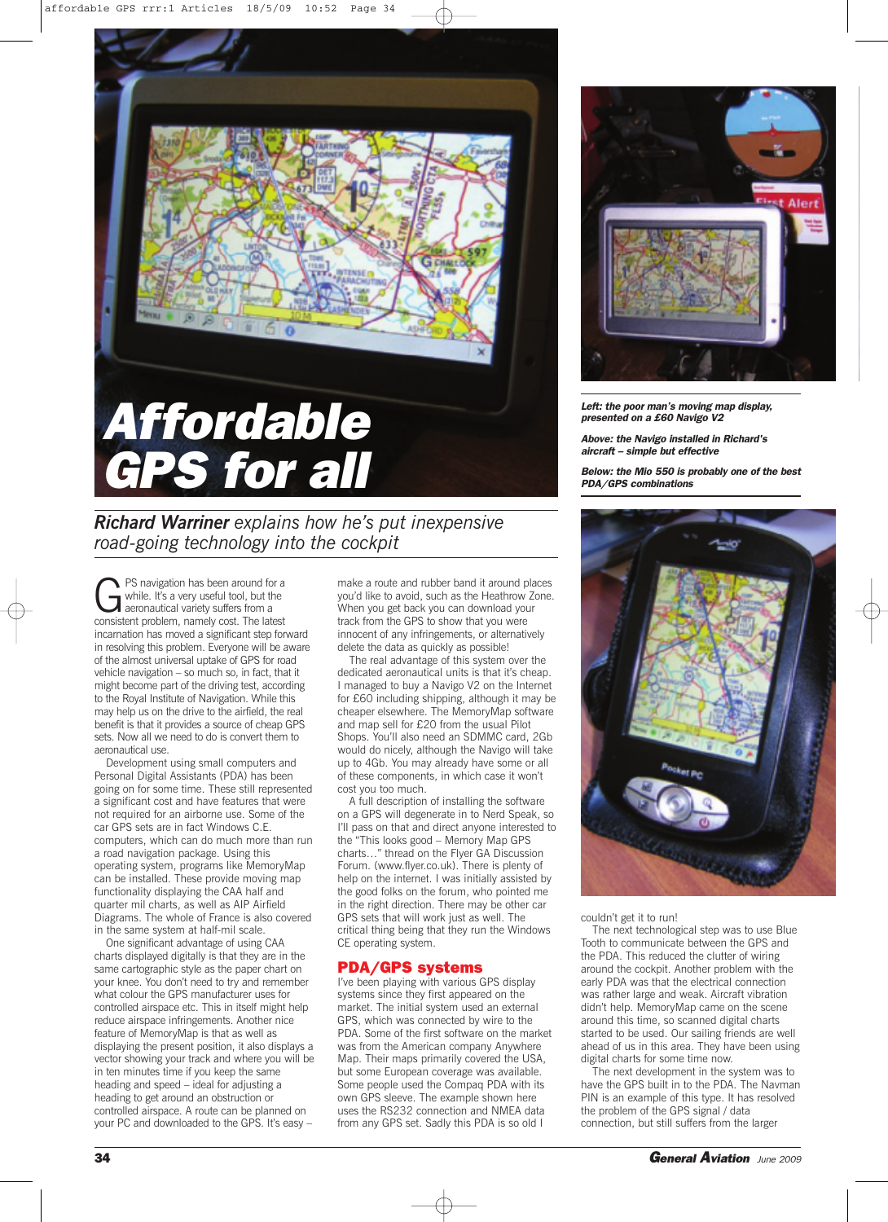

*Richard Warriner explains how he's put inexpensive road-going technology into the cockpit*

**C**PS navigation has been around for a<br>
while. It's a very useful tool, but the<br>
aeronautical variety suffers from a<br>
consistent problem, namely cost. The latest while. It's a very useful tool, but the consistent problem, namely cost. The latest incarnation has moved a significant step forward in resolving this problem. Everyone will be aware of the almost universal uptake of GPS for road vehicle navigation – so much so, in fact, that it might become part of the driving test, according to the Royal Institute of Navigation. While this may help us on the drive to the airfield, the real benefit is that it provides a source of cheap GPS sets. Now all we need to do is convert them to aeronautical use.

Development using small computers and Personal Digital Assistants (PDA) has been going on for some time. These still represented a significant cost and have features that were not required for an airborne use. Some of the car GPS sets are in fact Windows C.E. computers, which can do much more than run a road navigation package. Using this operating system, programs like MemoryMap can be installed. These provide moving map functionality displaying the CAA half and quarter mil charts, as well as AIP Airfield Diagrams. The whole of France is also covered in the same system at half-mil scale.

One significant advantage of using CAA charts displayed digitally is that they are in the same cartographic style as the paper chart on your knee. You don't need to try and remember what colour the GPS manufacturer uses for controlled airspace etc. This in itself might help reduce airspace infringements. Another nice feature of MemoryMap is that as well as displaying the present position, it also displays a vector showing your track and where you will be in ten minutes time if you keep the same heading and speed – ideal for adjusting a heading to get around an obstruction or controlled airspace. A route can be planned on your PC and downloaded to the GPS. It's easy –

make a route and rubber band it around places you'd like to avoid, such as the Heathrow Zone. When you get back you can download your track from the GPS to show that you were innocent of any infringements, or alternatively delete the data as quickly as possible!

The real advantage of this system over the dedicated aeronautical units is that it's cheap. I managed to buy a Navigo V2 on the Internet for £60 including shipping, although it may be cheaper elsewhere. The MemoryMap software and map sell for £20 from the usual Pilot Shops. You'll also need an SDMMC card, 2Gb would do nicely, although the Navigo will take up to 4Gb. You may already have some or all of these components, in which case it won't cost you too much.

A full description of installing the software on a GPS will degenerate in to Nerd Speak, so I'll pass on that and direct anyone interested to the "This looks good – Memory Map GPS charts…" thread on the Flyer GA Discussion Forum. (www.flyer.co.uk). There is plenty of help on the internet. I was initially assisted by the good folks on the forum, who pointed me in the right direction. There may be other car GPS sets that will work just as well. The critical thing being that they run the Windows CE operating system.

## **PDA/GPS systems**

I've been playing with various GPS display systems since they first appeared on the market. The initial system used an external GPS, which was connected by wire to the PDA. Some of the first software on the market was from the American company Anywhere Map. Their maps primarily covered the USA, but some European coverage was available. Some people used the Compaq PDA with its own GPS sleeve. The example shown here uses the RS232 connection and NMEA data from any GPS set. Sadly this PDA is so old I



*Left: the poor man's moving map display, presented on a £60 Navigo V2*

*Above: the Navigo installed in Richard's aircraft – simple but effective*

*Below: the Mio 550 is probably one of the best PDA/GPS combinations*



couldn't get it to run!

The next technological step was to use Blue Tooth to communicate between the GPS and the PDA. This reduced the clutter of wiring around the cockpit. Another problem with the early PDA was that the electrical connection was rather large and weak. Aircraft vibration didn't help. MemoryMap came on the scene around this time, so scanned digital charts started to be used. Our sailing friends are well ahead of us in this area. They have been using digital charts for some time now.

The next development in the system was to have the GPS built in to the PDA. The Navman PIN is an example of this type. It has resolved the problem of the GPS signal / data connection, but still suffers from the larger